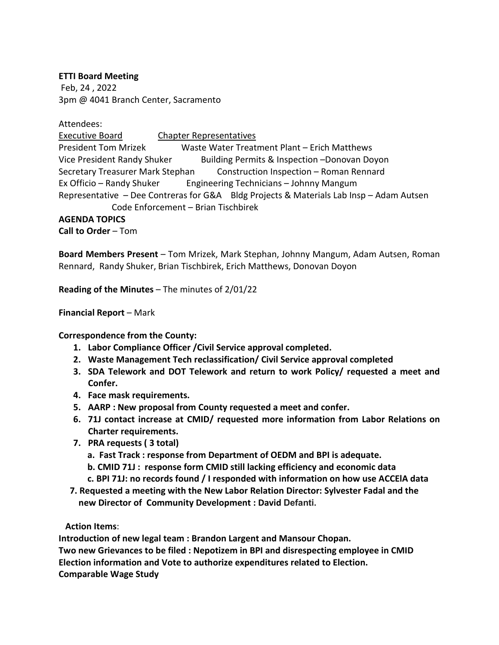## **ETTI Board Meeting**

Feb, 24 , 2022 3pm @ 4041 Branch Center, Sacramento

Attendees:

Executive Board Chapter Representatives President Tom Mrizek Waste Water Treatment Plant – Erich Matthews Vice President Randy Shuker Building Permits & Inspection –Donovan Doyon Secretary Treasurer Mark Stephan Construction Inspection – Roman Rennard Ex Officio – Randy Shuker Engineering Technicians – Johnny Mangum Representative – Dee Contreras for G&A Bldg Projects & Materials Lab Insp – Adam Autsen Code Enforcement – Brian Tischbirek

## **AGENDA TOPICS**

**Call to Order** – Tom

**Board Members Present** – Tom Mrizek, Mark Stephan, Johnny Mangum, Adam Autsen, Roman Rennard, Randy Shuker, Brian Tischbirek, Erich Matthews, Donovan Doyon

**Reading of the Minutes** – The minutes of 2/01/22

**Financial Report** – Mark

**Correspondence from the County:**

- **1. Labor Compliance Officer /Civil Service approval completed.**
- **2. Waste Management Tech reclassification/ Civil Service approval completed**
- **3. SDA Telework and DOT Telework and return to work Policy/ requested a meet and Confer.**
- **4. Face mask requirements.**
- **5. AARP : New proposal from County requested a meet and confer.**
- **6. 71J contact increase at CMID/ requested more information from Labor Relations on Charter requirements.**
- **7. PRA requests ( 3 total)**
	- **a. Fast Track : response from Department of OEDM and BPI is adequate.**
	- **b. CMID 71J : response form CMID still lacking efficiency and economic data**
	- **c. BPI 71J: no records found / I responded with information on how use ACCElA data**
- **7. Requested a meeting with the New Labor Relation Director: Sylvester Fadal and the new Director of Community Development : David Defanti.**

## **Action Items**:

**Introduction of new legal team : Brandon Largent and Mansour Chopan. Two new Grievances to be filed : Nepotizem in BPI and disrespecting employee in CMID Election information and Vote to authorize expenditures related to Election. Comparable Wage Study**